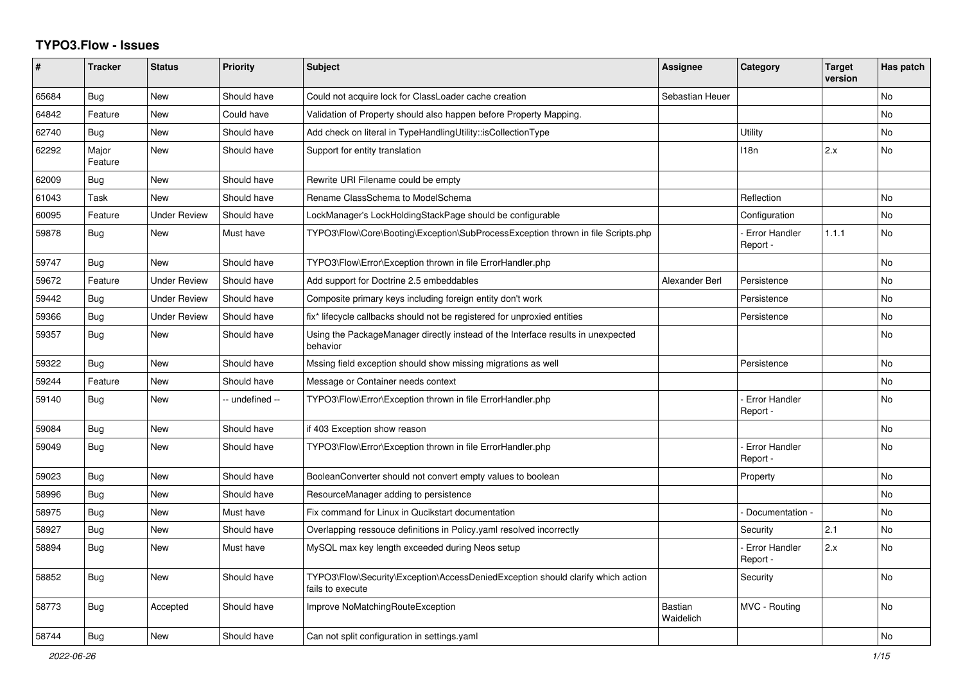## **TYPO3.Flow - Issues**

| #     | <b>Tracker</b>   | <b>Status</b>       | <b>Priority</b> | <b>Subject</b>                                                                                      | Assignee                    | <b>Category</b>                  | <b>Target</b><br>version | Has patch      |
|-------|------------------|---------------------|-----------------|-----------------------------------------------------------------------------------------------------|-----------------------------|----------------------------------|--------------------------|----------------|
| 65684 | Bug              | <b>New</b>          | Should have     | Could not acquire lock for ClassLoader cache creation                                               | Sebastian Heuer             |                                  |                          | No             |
| 64842 | Feature          | <b>New</b>          | Could have      | Validation of Property should also happen before Property Mapping.                                  |                             |                                  |                          | No.            |
| 62740 | Bug              | <b>New</b>          | Should have     | Add check on literal in TypeHandlingUtility::isCollectionType                                       |                             | Utility                          |                          | N <sub>o</sub> |
| 62292 | Major<br>Feature | <b>New</b>          | Should have     | Support for entity translation                                                                      |                             | 118n                             | 2.x                      | N <sub>o</sub> |
| 62009 | Bug              | <b>New</b>          | Should have     | Rewrite URI Filename could be empty                                                                 |                             |                                  |                          |                |
| 61043 | Task             | <b>New</b>          | Should have     | Rename ClassSchema to ModelSchema                                                                   |                             | Reflection                       |                          | No.            |
| 60095 | Feature          | <b>Under Review</b> | Should have     | LockManager's LockHoldingStackPage should be configurable                                           |                             | Configuration                    |                          | No             |
| 59878 | Bug              | <b>New</b>          | Must have       | TYPO3\Flow\Core\Booting\Exception\SubProcessException thrown in file Scripts.php                    |                             | <b>Error Handler</b><br>Report - | 1.1.1                    | N <sub>o</sub> |
| 59747 | Bug              | <b>New</b>          | Should have     | TYPO3\Flow\Error\Exception thrown in file ErrorHandler.php                                          |                             |                                  |                          | <b>No</b>      |
| 59672 | Feature          | <b>Under Review</b> | Should have     | Add support for Doctrine 2.5 embeddables                                                            | Alexander Berl              | Persistence                      |                          | N <sub>o</sub> |
| 59442 | Bug              | <b>Under Review</b> | Should have     | Composite primary keys including foreign entity don't work                                          |                             | Persistence                      |                          | N <sub>o</sub> |
| 59366 | Bug              | <b>Under Review</b> | Should have     | fix* lifecycle callbacks should not be registered for unproxied entities                            |                             | Persistence                      |                          | No             |
| 59357 | Bug              | <b>New</b>          | Should have     | Using the PackageManager directly instead of the Interface results in unexpected<br>behavior        |                             |                                  |                          | No.            |
| 59322 | <b>Bug</b>       | <b>New</b>          | Should have     | Mssing field exception should show missing migrations as well                                       |                             | Persistence                      |                          | N <sub>o</sub> |
| 59244 | Feature          | <b>New</b>          | Should have     | Message or Container needs context                                                                  |                             |                                  |                          | N <sub>o</sub> |
| 59140 | Bug              | <b>New</b>          | -- undefined -- | TYPO3\Flow\Error\Exception thrown in file ErrorHandler.php                                          |                             | <b>Error Handler</b><br>Report - |                          | N <sub>o</sub> |
| 59084 | Bug              | <b>New</b>          | Should have     | if 403 Exception show reason                                                                        |                             |                                  |                          | No             |
| 59049 | Bug              | <b>New</b>          | Should have     | TYPO3\Flow\Error\Exception thrown in file ErrorHandler.php                                          |                             | <b>Error Handler</b><br>Report - |                          | <b>No</b>      |
| 59023 | Bug              | <b>New</b>          | Should have     | BooleanConverter should not convert empty values to boolean                                         |                             | Property                         |                          | N <sub>o</sub> |
| 58996 | Bug              | <b>New</b>          | Should have     | ResourceManager adding to persistence                                                               |                             |                                  |                          | <b>No</b>      |
| 58975 | Bug              | <b>New</b>          | Must have       | Fix command for Linux in Qucikstart documentation                                                   |                             | Documentation -                  |                          | N <sub>o</sub> |
| 58927 | <b>Bug</b>       | <b>New</b>          | Should have     | Overlapping ressouce definitions in Policy yaml resolved incorrectly                                |                             | Security                         | 2.1                      | N <sub>o</sub> |
| 58894 | <b>Bug</b>       | New                 | Must have       | MySQL max key length exceeded during Neos setup                                                     |                             | <b>Error Handler</b><br>Report - | 2.x                      | N <sub>o</sub> |
| 58852 | <b>Bug</b>       | <b>New</b>          | Should have     | TYPO3\Flow\Security\Exception\AccessDeniedException should clarify which action<br>fails to execute |                             | Security                         |                          | N <sub>o</sub> |
| 58773 | Bug              | Accepted            | Should have     | Improve NoMatchingRouteException                                                                    | <b>Bastian</b><br>Waidelich | MVC - Routing                    |                          | No             |
| 58744 | <b>Bug</b>       | New                 | Should have     | Can not split configuration in settings yaml                                                        |                             |                                  |                          | No             |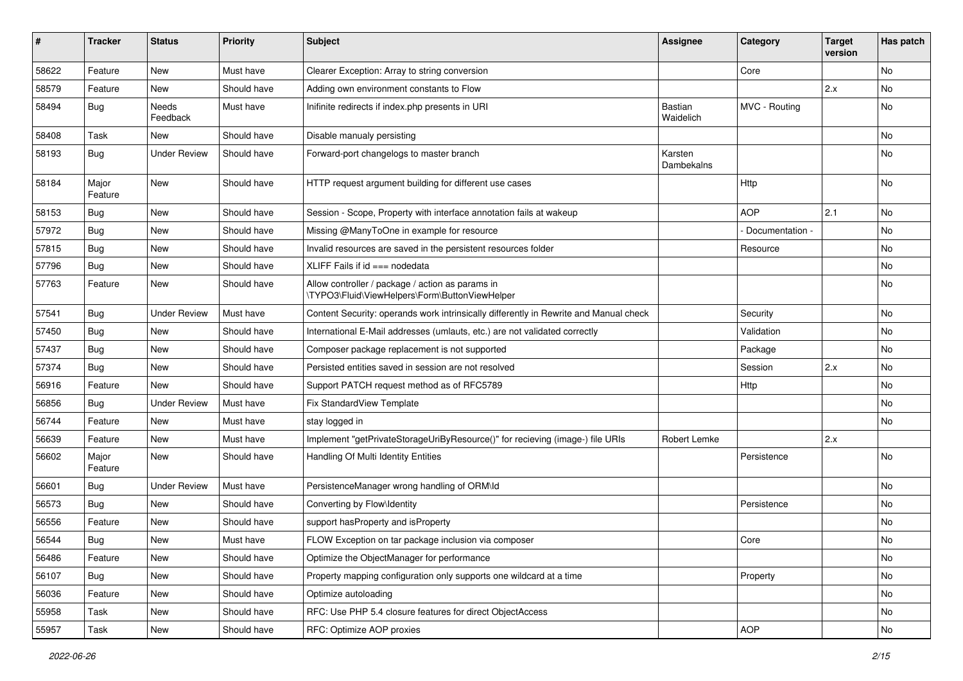| #     | <b>Tracker</b>   | <b>Status</b>       | <b>Priority</b> | Subject                                                                                            | Assignee                    | Category        | <b>Target</b><br>version | Has patch |
|-------|------------------|---------------------|-----------------|----------------------------------------------------------------------------------------------------|-----------------------------|-----------------|--------------------------|-----------|
| 58622 | Feature          | New                 | Must have       | Clearer Exception: Array to string conversion                                                      |                             | Core            |                          | No        |
| 58579 | Feature          | New                 | Should have     | Adding own environment constants to Flow                                                           |                             |                 | 2.x                      | No        |
| 58494 | <b>Bug</b>       | Needs<br>Feedback   | Must have       | Inifinite redirects if index.php presents in URI                                                   | <b>Bastian</b><br>Waidelich | MVC - Routing   |                          | No        |
| 58408 | Task             | New                 | Should have     | Disable manualy persisting                                                                         |                             |                 |                          | No        |
| 58193 | Bug              | <b>Under Review</b> | Should have     | Forward-port changelogs to master branch                                                           | Karsten<br>Dambekalns       |                 |                          | No        |
| 58184 | Major<br>Feature | New                 | Should have     | HTTP request argument building for different use cases                                             |                             | Http            |                          | No        |
| 58153 | <b>Bug</b>       | New                 | Should have     | Session - Scope, Property with interface annotation fails at wakeup                                |                             | <b>AOP</b>      | 2.1                      | No        |
| 57972 | <b>Bug</b>       | New                 | Should have     | Missing @ManyToOne in example for resource                                                         |                             | Documentation - |                          | No        |
| 57815 | Bug              | New                 | Should have     | Invalid resources are saved in the persistent resources folder                                     |                             | Resource        |                          | No        |
| 57796 | <b>Bug</b>       | New                 | Should have     | XLIFF Fails if $id ==$ nodedata                                                                    |                             |                 |                          | No        |
| 57763 | Feature          | New                 | Should have     | Allow controller / package / action as params in<br>\TYPO3\Fluid\ViewHelpers\Form\ButtonViewHelper |                             |                 |                          | No        |
| 57541 | Bug              | <b>Under Review</b> | Must have       | Content Security: operands work intrinsically differently in Rewrite and Manual check              |                             | Security        |                          | No        |
| 57450 | Bug              | New                 | Should have     | International E-Mail addresses (umlauts, etc.) are not validated correctly                         |                             | Validation      |                          | No        |
| 57437 | Bug              | New                 | Should have     | Composer package replacement is not supported                                                      |                             | Package         |                          | No        |
| 57374 | <b>Bug</b>       | New                 | Should have     | Persisted entities saved in session are not resolved                                               |                             | Session         | 2.x                      | No        |
| 56916 | Feature          | <b>New</b>          | Should have     | Support PATCH request method as of RFC5789                                                         |                             | Http            |                          | <b>No</b> |
| 56856 | Bug              | <b>Under Review</b> | Must have       | Fix StandardView Template                                                                          |                             |                 |                          | No        |
| 56744 | Feature          | New                 | Must have       | stay logged in                                                                                     |                             |                 |                          | No        |
| 56639 | Feature          | New                 | Must have       | Implement "getPrivateStorageUriByResource()" for recieving (image-) file URIs                      | Robert Lemke                |                 | 2.x                      |           |
| 56602 | Major<br>Feature | New                 | Should have     | Handling Of Multi Identity Entities                                                                |                             | Persistence     |                          | No        |
| 56601 | <b>Bug</b>       | <b>Under Review</b> | Must have       | PersistenceManager wrong handling of ORM\ld                                                        |                             |                 |                          | No        |
| 56573 | <b>Bug</b>       | New                 | Should have     | Converting by Flow\Identity                                                                        |                             | Persistence     |                          | No        |
| 56556 | Feature          | New                 | Should have     | support hasProperty and isProperty                                                                 |                             |                 |                          | No        |
| 56544 | Bug              | New                 | Must have       | FLOW Exception on tar package inclusion via composer                                               |                             | Core            |                          | No        |
| 56486 | Feature          | New                 | Should have     | Optimize the ObjectManager for performance                                                         |                             |                 |                          | No        |
| 56107 | <b>Bug</b>       | New                 | Should have     | Property mapping configuration only supports one wildcard at a time                                |                             | Property        |                          | No        |
| 56036 | Feature          | New                 | Should have     | Optimize autoloading                                                                               |                             |                 |                          | No        |
| 55958 | Task             | New                 | Should have     | RFC: Use PHP 5.4 closure features for direct ObjectAccess                                          |                             |                 |                          | No        |
| 55957 | Task             | New                 | Should have     | RFC: Optimize AOP proxies                                                                          |                             | AOP             |                          | No        |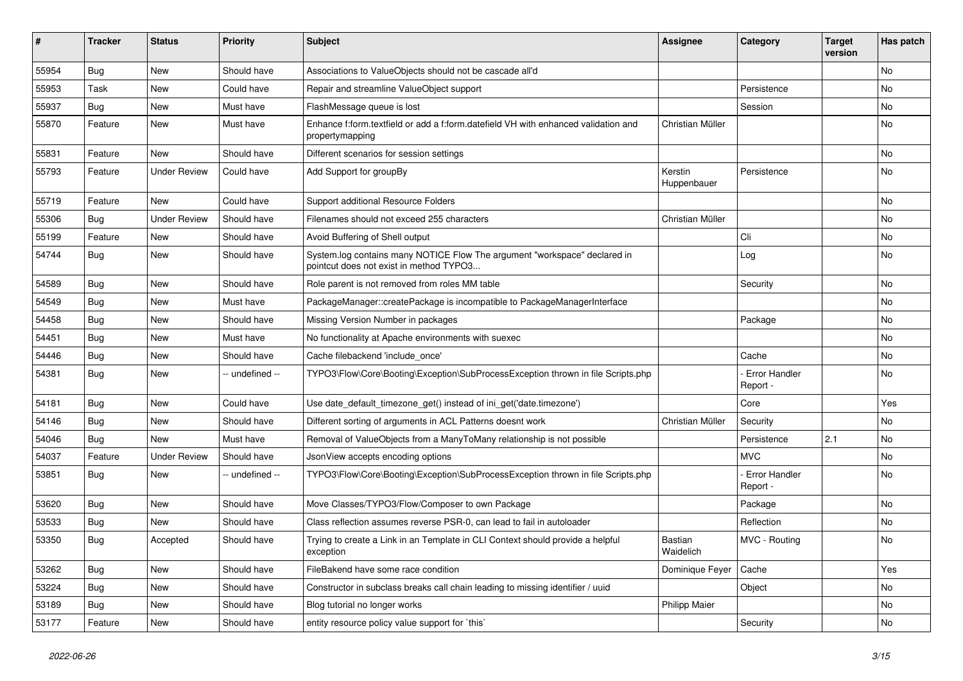| #     | <b>Tracker</b> | <b>Status</b>       | <b>Priority</b> | <b>Subject</b>                                                                                                       | <b>Assignee</b>        | Category                         | <b>Target</b><br>version | Has patch |
|-------|----------------|---------------------|-----------------|----------------------------------------------------------------------------------------------------------------------|------------------------|----------------------------------|--------------------------|-----------|
| 55954 | Bug            | <b>New</b>          | Should have     | Associations to ValueObjects should not be cascade all'd                                                             |                        |                                  |                          | No        |
| 55953 | Task           | New                 | Could have      | Repair and streamline ValueObject support                                                                            |                        | Persistence                      |                          | No        |
| 55937 | <b>Bug</b>     | New                 | Must have       | FlashMessage queue is lost                                                                                           |                        | Session                          |                          | No        |
| 55870 | Feature        | New                 | Must have       | Enhance f:form.textfield or add a f:form.datefield VH with enhanced validation and<br>propertymapping                | Christian Müller       |                                  |                          | No        |
| 55831 | Feature        | New                 | Should have     | Different scenarios for session settings                                                                             |                        |                                  |                          | No        |
| 55793 | Feature        | <b>Under Review</b> | Could have      | Add Support for groupBy                                                                                              | Kerstin<br>Huppenbauer | Persistence                      |                          | No        |
| 55719 | Feature        | New                 | Could have      | Support additional Resource Folders                                                                                  |                        |                                  |                          | No        |
| 55306 | <b>Bug</b>     | <b>Under Review</b> | Should have     | Filenames should not exceed 255 characters                                                                           | Christian Müller       |                                  |                          | No        |
| 55199 | Feature        | New                 | Should have     | Avoid Buffering of Shell output                                                                                      |                        | Cli                              |                          | <b>No</b> |
| 54744 | <b>Bug</b>     | New                 | Should have     | System.log contains many NOTICE Flow The argument "workspace" declared in<br>pointcut does not exist in method TYPO3 |                        | Log                              |                          | No        |
| 54589 | <b>Bug</b>     | <b>New</b>          | Should have     | Role parent is not removed from roles MM table                                                                       |                        | Security                         |                          | <b>No</b> |
| 54549 | Bug            | New                 | Must have       | PackageManager::createPackage is incompatible to PackageManagerInterface                                             |                        |                                  |                          | No        |
| 54458 | Bug            | New                 | Should have     | Missing Version Number in packages                                                                                   |                        | Package                          |                          | No        |
| 54451 | <b>Bug</b>     | New                 | Must have       | No functionality at Apache environments with suexec                                                                  |                        |                                  |                          | No        |
| 54446 | Bug            | New                 | Should have     | Cache filebackend 'include once'                                                                                     |                        | Cache                            |                          | No        |
| 54381 | <b>Bug</b>     | New                 | -- undefined -- | TYPO3\Flow\Core\Booting\Exception\SubProcessException thrown in file Scripts.php                                     |                        | <b>Error Handler</b><br>Report - |                          | No        |
| 54181 | <b>Bug</b>     | New                 | Could have      | Use date_default_timezone_get() instead of ini_get('date.timezone')                                                  |                        | Core                             |                          | Yes       |
| 54146 | <b>Bug</b>     | New                 | Should have     | Different sorting of arguments in ACL Patterns doesnt work                                                           | Christian Müller       | Security                         |                          | No        |
| 54046 | <b>Bug</b>     | New                 | Must have       | Removal of ValueObjects from a ManyToMany relationship is not possible                                               |                        | Persistence                      | 2.1                      | No        |
| 54037 | Feature        | <b>Under Review</b> | Should have     | JsonView accepts encoding options                                                                                    |                        | <b>MVC</b>                       |                          | No        |
| 53851 | <b>Bug</b>     | New                 | -- undefined -- | TYPO3\Flow\Core\Booting\Exception\SubProcessException thrown in file Scripts.php                                     |                        | Error Handler<br>Report -        |                          | No        |
| 53620 | <b>Bug</b>     | <b>New</b>          | Should have     | Move Classes/TYPO3/Flow/Composer to own Package                                                                      |                        | Package                          |                          | <b>No</b> |
| 53533 | Bug            | New                 | Should have     | Class reflection assumes reverse PSR-0, can lead to fail in autoloader                                               |                        | Reflection                       |                          | No        |
| 53350 | <b>Bug</b>     | Accepted            | Should have     | Trying to create a Link in an Template in CLI Context should provide a helpful<br>exception                          | Bastian<br>Waidelich   | MVC - Routing                    |                          | No        |
| 53262 | Bug            | New                 | Should have     | FileBakend have some race condition                                                                                  | Dominique Feyer        | Cache                            |                          | Yes       |
| 53224 | Bug            | New                 | Should have     | Constructor in subclass breaks call chain leading to missing identifier / uuid                                       |                        | Object                           |                          | No        |
| 53189 | Bug            | New                 | Should have     | Blog tutorial no longer works                                                                                        | <b>Philipp Maier</b>   |                                  |                          | No        |
| 53177 | Feature        | New                 | Should have     | entity resource policy value support for `this`                                                                      |                        | Security                         |                          | No        |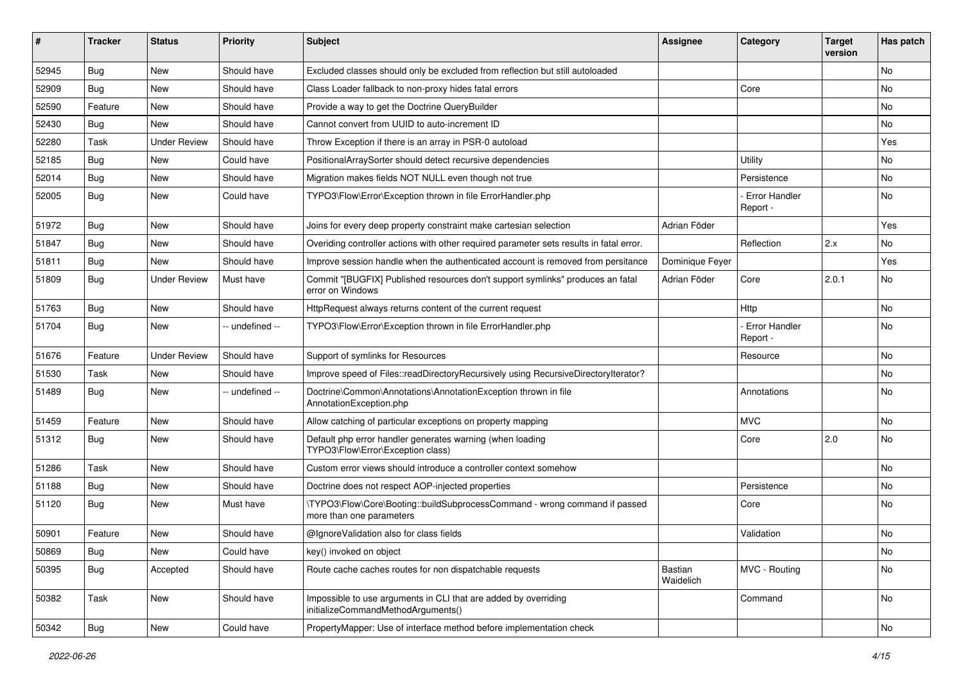| #     | <b>Tracker</b> | <b>Status</b>       | <b>Priority</b> | <b>Subject</b>                                                                                         | <b>Assignee</b>      | Category                         | <b>Target</b><br>version | Has patch |
|-------|----------------|---------------------|-----------------|--------------------------------------------------------------------------------------------------------|----------------------|----------------------------------|--------------------------|-----------|
| 52945 | Bug            | <b>New</b>          | Should have     | Excluded classes should only be excluded from reflection but still autoloaded                          |                      |                                  |                          | <b>No</b> |
| 52909 | <b>Bug</b>     | New                 | Should have     | Class Loader fallback to non-proxy hides fatal errors                                                  |                      | Core                             |                          | <b>No</b> |
| 52590 | Feature        | New                 | Should have     | Provide a way to get the Doctrine QueryBuilder                                                         |                      |                                  |                          | No        |
| 52430 | <b>Bug</b>     | New                 | Should have     | Cannot convert from UUID to auto-increment ID                                                          |                      |                                  |                          | No        |
| 52280 | Task           | <b>Under Review</b> | Should have     | Throw Exception if there is an array in PSR-0 autoload                                                 |                      |                                  |                          | Yes       |
| 52185 | Bug            | New                 | Could have      | PositionalArraySorter should detect recursive dependencies                                             |                      | Utility                          |                          | No        |
| 52014 | <b>Bug</b>     | New                 | Should have     | Migration makes fields NOT NULL even though not true                                                   |                      | Persistence                      |                          | No        |
| 52005 | <b>Bug</b>     | New                 | Could have      | TYPO3\Flow\Error\Exception thrown in file ErrorHandler.php                                             |                      | Error Handler<br>Report -        |                          | No        |
| 51972 | <b>Bug</b>     | <b>New</b>          | Should have     | Joins for every deep property constraint make cartesian selection                                      | Adrian Föder         |                                  |                          | Yes       |
| 51847 | <b>Bug</b>     | New                 | Should have     | Overiding controller actions with other required parameter sets results in fatal error.                |                      | Reflection                       | 2.x                      | <b>No</b> |
| 51811 | <b>Bug</b>     | New                 | Should have     | Improve session handle when the authenticated account is removed from persitance                       | Dominique Feyer      |                                  |                          | Yes       |
| 51809 | <b>Bug</b>     | <b>Under Review</b> | Must have       | Commit "[BUGFIX] Published resources don't support symlinks" produces an fatal<br>error on Windows     | Adrian Föder         | Core                             | 2.0.1                    | <b>No</b> |
| 51763 | <b>Bug</b>     | New                 | Should have     | HttpRequest always returns content of the current request                                              |                      | Http                             |                          | <b>No</b> |
| 51704 | <b>Bug</b>     | New                 | -- undefined -- | TYPO3\Flow\Error\Exception thrown in file ErrorHandler.php                                             |                      | <b>Error Handler</b><br>Report - |                          | <b>No</b> |
| 51676 | Feature        | <b>Under Review</b> | Should have     | Support of symlinks for Resources                                                                      |                      | Resource                         |                          | <b>No</b> |
| 51530 | Task           | New                 | Should have     | Improve speed of Files::readDirectoryRecursively using RecursiveDirectoryIterator?                     |                      |                                  |                          | No        |
| 51489 | Bug            | New                 | -- undefined -- | Doctrine\Common\Annotations\AnnotationException thrown in file<br>AnnotationException.php              |                      | Annotations                      |                          | No        |
| 51459 | Feature        | <b>New</b>          | Should have     | Allow catching of particular exceptions on property mapping                                            |                      | <b>MVC</b>                       |                          | <b>No</b> |
| 51312 | Bug            | New                 | Should have     | Default php error handler generates warning (when loading<br>TYPO3\Flow\Error\Exception class)         |                      | Core                             | 2.0                      | No        |
| 51286 | Task           | <b>New</b>          | Should have     | Custom error views should introduce a controller context somehow                                       |                      |                                  |                          | No        |
| 51188 | <b>Bug</b>     | New                 | Should have     | Doctrine does not respect AOP-injected properties                                                      |                      | Persistence                      |                          | <b>No</b> |
| 51120 | Bug            | New                 | Must have       | \TYPO3\Flow\Core\Booting::buildSubprocessCommand - wrong command if passed<br>more than one parameters |                      | Core                             |                          | <b>No</b> |
| 50901 | Feature        | New                 | Should have     | @IgnoreValidation also for class fields                                                                |                      | Validation                       |                          | No        |
| 50869 | Bug            | New                 | Could have      | key() invoked on object                                                                                |                      |                                  |                          | No        |
| 50395 | Bug            | Accepted            | Should have     | Route cache caches routes for non dispatchable requests                                                | Bastian<br>Waidelich | MVC - Routing                    |                          | No        |
| 50382 | Task           | New                 | Should have     | Impossible to use arguments in CLI that are added by overriding<br>initializeCommandMethodArguments()  |                      | Command                          |                          | No        |
| 50342 | <b>Bug</b>     | New                 | Could have      | PropertyMapper: Use of interface method before implementation check                                    |                      |                                  |                          | No        |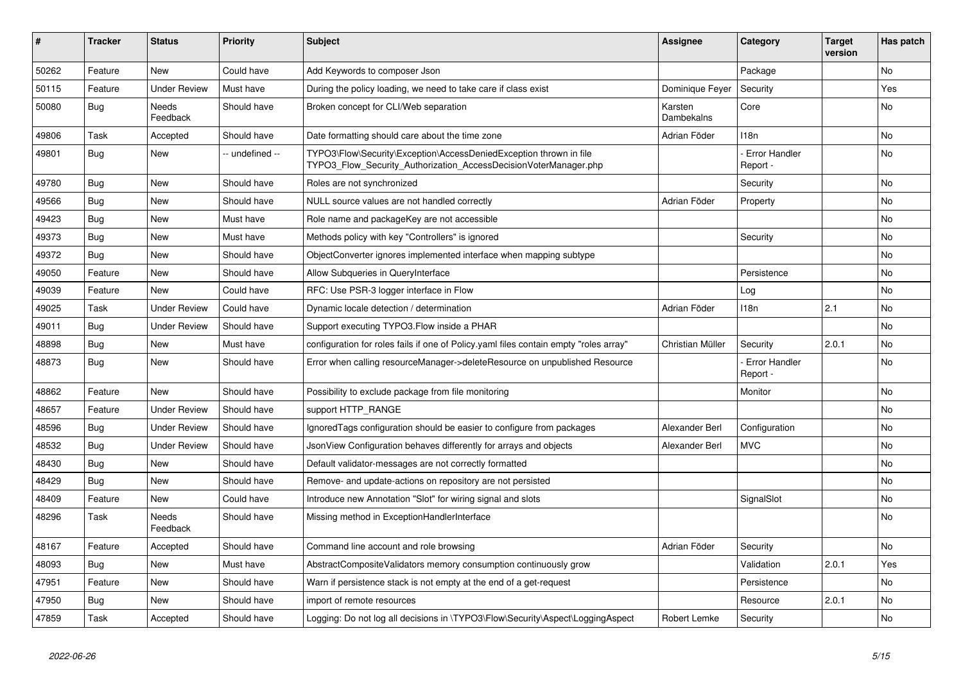| ∦     | <b>Tracker</b> | <b>Status</b>       | <b>Priority</b> | <b>Subject</b>                                                                                                                         | <b>Assignee</b>       | Category                         | <b>Target</b><br>version | Has patch      |
|-------|----------------|---------------------|-----------------|----------------------------------------------------------------------------------------------------------------------------------------|-----------------------|----------------------------------|--------------------------|----------------|
| 50262 | Feature        | <b>New</b>          | Could have      | Add Keywords to composer Json                                                                                                          |                       | Package                          |                          | N <sub>o</sub> |
| 50115 | Feature        | <b>Under Review</b> | Must have       | During the policy loading, we need to take care if class exist                                                                         | Dominique Fever       | Security                         |                          | Yes            |
| 50080 | Bug            | Needs<br>Feedback   | Should have     | Broken concept for CLI/Web separation                                                                                                  | Karsten<br>Dambekalns | Core                             |                          | No             |
| 49806 | Task           | Accepted            | Should have     | Date formatting should care about the time zone                                                                                        | Adrian Föder          | 118n                             |                          | No             |
| 49801 | Bug            | <b>New</b>          | - undefined --  | TYPO3\Flow\Security\Exception\AccessDeniedException thrown in file<br>TYPO3 Flow Security Authorization AccessDecisionVoterManager.php |                       | <b>Error Handler</b><br>Report - |                          | <b>No</b>      |
| 49780 | Bug            | <b>New</b>          | Should have     | Roles are not synchronized                                                                                                             |                       | Security                         |                          | <b>No</b>      |
| 49566 | Bug            | <b>New</b>          | Should have     | NULL source values are not handled correctly                                                                                           | Adrian Föder          | Property                         |                          | No             |
| 49423 | <b>Bug</b>     | <b>New</b>          | Must have       | Role name and packageKey are not accessible                                                                                            |                       |                                  |                          | No             |
| 49373 | Bug            | <b>New</b>          | Must have       | Methods policy with key "Controllers" is ignored                                                                                       |                       | Security                         |                          | <b>No</b>      |
| 49372 | <b>Bug</b>     | <b>New</b>          | Should have     | ObjectConverter ignores implemented interface when mapping subtype                                                                     |                       |                                  |                          | No             |
| 49050 | Feature        | <b>New</b>          | Should have     | Allow Subqueries in QueryInterface                                                                                                     |                       | Persistence                      |                          | No             |
| 49039 | Feature        | <b>New</b>          | Could have      | RFC: Use PSR-3 logger interface in Flow                                                                                                |                       | Log                              |                          | No             |
| 49025 | Task           | <b>Under Review</b> | Could have      | Dynamic locale detection / determination                                                                                               | Adrian Föder          | 118n                             | 2.1                      | <b>No</b>      |
| 49011 | Bug            | <b>Under Review</b> | Should have     | Support executing TYPO3. Flow inside a PHAR                                                                                            |                       |                                  |                          | No             |
| 48898 | Bug            | <b>New</b>          | Must have       | configuration for roles fails if one of Policy yaml files contain empty "roles array"                                                  | Christian Müller      | Security                         | 2.0.1                    | No             |
| 48873 | Bug            | <b>New</b>          | Should have     | Error when calling resourceManager->deleteResource on unpublished Resource                                                             |                       | Error Handler<br>Report -        |                          | No             |
| 48862 | Feature        | <b>New</b>          | Should have     | Possibility to exclude package from file monitoring                                                                                    |                       | Monitor                          |                          | No             |
| 48657 | Feature        | <b>Under Review</b> | Should have     | support HTTP RANGE                                                                                                                     |                       |                                  |                          | No             |
| 48596 | Bug            | <b>Under Review</b> | Should have     | Ignored Tags configuration should be easier to configure from packages                                                                 | Alexander Berl        | Configuration                    |                          | <b>No</b>      |
| 48532 | Bug            | <b>Under Review</b> | Should have     | JsonView Configuration behaves differently for arrays and objects                                                                      | Alexander Berl        | <b>MVC</b>                       |                          | No             |
| 48430 | Bug            | <b>New</b>          | Should have     | Default validator-messages are not correctly formatted                                                                                 |                       |                                  |                          | No             |
| 48429 | Bug            | <b>New</b>          | Should have     | Remove- and update-actions on repository are not persisted                                                                             |                       |                                  |                          | No             |
| 48409 | Feature        | <b>New</b>          | Could have      | Introduce new Annotation "Slot" for wiring signal and slots                                                                            |                       | SignalSlot                       |                          | No             |
| 48296 | Task           | Needs<br>Feedback   | Should have     | Missing method in ExceptionHandlerInterface                                                                                            |                       |                                  |                          | No             |
| 48167 | Feature        | Accepted            | Should have     | Command line account and role browsing                                                                                                 | Adrian Föder          | Security                         |                          | No             |
| 48093 | Bug            | <b>New</b>          | Must have       | AbstractCompositeValidators memory consumption continuously grow                                                                       |                       | Validation                       | 2.0.1                    | Yes            |
| 47951 | Feature        | <b>New</b>          | Should have     | Warn if persistence stack is not empty at the end of a get-request                                                                     |                       | Persistence                      |                          | No             |
| 47950 | Bug            | <b>New</b>          | Should have     | import of remote resources                                                                                                             |                       | Resource                         | 2.0.1                    | No             |
| 47859 | Task           | Accepted            | Should have     | Logging: Do not log all decisions in \TYPO3\Flow\Security\Aspect\LoggingAspect                                                         | Robert Lemke          | Security                         |                          | <b>No</b>      |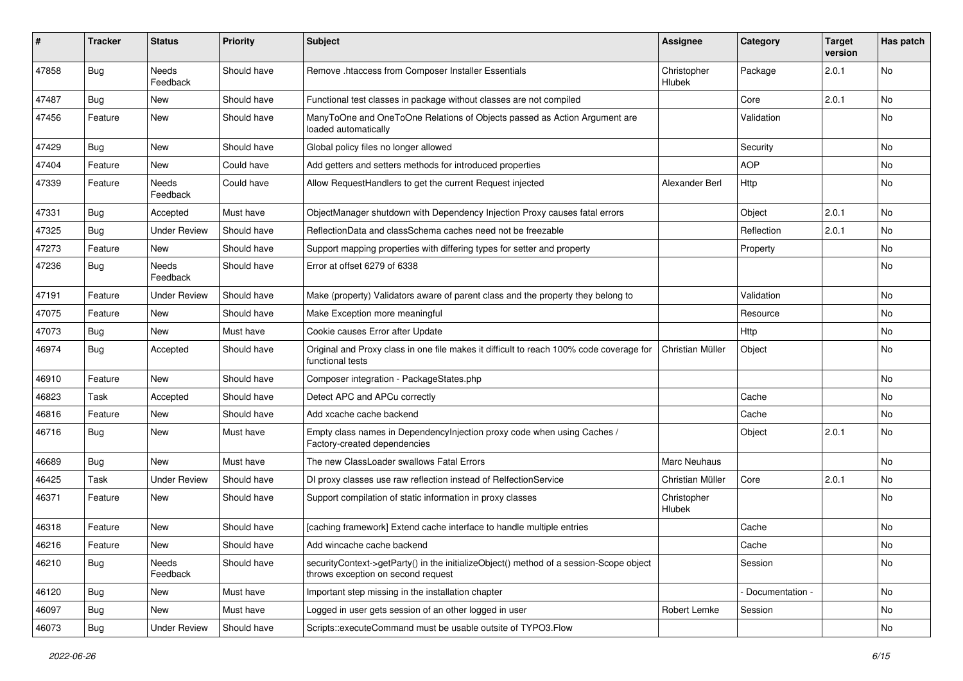| #     | Tracker    | <b>Status</b>       | <b>Priority</b> | <b>Subject</b>                                                                                                               | Assignee              | Category        | <b>Target</b><br>version | Has patch |
|-------|------------|---------------------|-----------------|------------------------------------------------------------------------------------------------------------------------------|-----------------------|-----------------|--------------------------|-----------|
| 47858 | <b>Bug</b> | Needs<br>Feedback   | Should have     | Remove .htaccess from Composer Installer Essentials                                                                          | Christopher<br>Hlubek | Package         | 2.0.1                    | No        |
| 47487 | Bug        | New                 | Should have     | Functional test classes in package without classes are not compiled                                                          |                       | Core            | 2.0.1                    | No        |
| 47456 | Feature    | New                 | Should have     | ManyToOne and OneToOne Relations of Objects passed as Action Argument are<br>loaded automatically                            |                       | Validation      |                          | No        |
| 47429 | <b>Bug</b> | New                 | Should have     | Global policy files no longer allowed                                                                                        |                       | Security        |                          | <b>No</b> |
| 47404 | Feature    | New                 | Could have      | Add getters and setters methods for introduced properties                                                                    |                       | <b>AOP</b>      |                          | No        |
| 47339 | Feature    | Needs<br>Feedback   | Could have      | Allow RequestHandlers to get the current Request injected                                                                    | Alexander Berl        | Http            |                          | No        |
| 47331 | <b>Bug</b> | Accepted            | Must have       | ObjectManager shutdown with Dependency Injection Proxy causes fatal errors                                                   |                       | Object          | 2.0.1                    | No        |
| 47325 | Bug        | <b>Under Review</b> | Should have     | ReflectionData and classSchema caches need not be freezable                                                                  |                       | Reflection      | 2.0.1                    | No        |
| 47273 | Feature    | New                 | Should have     | Support mapping properties with differing types for setter and property                                                      |                       | Property        |                          | No        |
| 47236 | <b>Bug</b> | Needs<br>Feedback   | Should have     | Error at offset 6279 of 6338                                                                                                 |                       |                 |                          | No        |
| 47191 | Feature    | <b>Under Review</b> | Should have     | Make (property) Validators aware of parent class and the property they belong to                                             |                       | Validation      |                          | No        |
| 47075 | Feature    | New                 | Should have     | Make Exception more meaningful                                                                                               |                       | Resource        |                          | No        |
| 47073 | <b>Bug</b> | New                 | Must have       | Cookie causes Error after Update                                                                                             |                       | Http            |                          | No        |
| 46974 | <b>Bug</b> | Accepted            | Should have     | Original and Proxy class in one file makes it difficult to reach 100% code coverage for<br>functional tests                  | Christian Müller      | Object          |                          | No        |
| 46910 | Feature    | New                 | Should have     | Composer integration - PackageStates.php                                                                                     |                       |                 |                          | No        |
| 46823 | Task       | Accepted            | Should have     | Detect APC and APCu correctly                                                                                                |                       | Cache           |                          | No        |
| 46816 | Feature    | New                 | Should have     | Add xcache cache backend                                                                                                     |                       | Cache           |                          | <b>No</b> |
| 46716 | <b>Bug</b> | New                 | Must have       | Empty class names in Dependencylnjection proxy code when using Caches /<br>Factory-created dependencies                      |                       | Object          | 2.0.1                    | No        |
| 46689 | <b>Bug</b> | New                 | Must have       | The new ClassLoader swallows Fatal Errors                                                                                    | <b>Marc Neuhaus</b>   |                 |                          | No        |
| 46425 | Task       | <b>Under Review</b> | Should have     | DI proxy classes use raw reflection instead of RelfectionService                                                             | Christian Müller      | Core            | 2.0.1                    | No.       |
| 46371 | Feature    | New                 | Should have     | Support compilation of static information in proxy classes                                                                   | Christopher<br>Hlubek |                 |                          | No        |
| 46318 | Feature    | New                 | Should have     | [caching framework] Extend cache interface to handle multiple entries                                                        |                       | Cache           |                          | No        |
| 46216 | Feature    | New                 | Should have     | Add wincache cache backend                                                                                                   |                       | Cache           |                          | No        |
| 46210 | Bug        | Needs<br>Feedback   | Should have     | securityContext->getParty() in the initializeObject() method of a session-Scope object<br>throws exception on second request |                       | Session         |                          | No        |
| 46120 | Bug        | New                 | Must have       | Important step missing in the installation chapter                                                                           |                       | Documentation - |                          | No        |
| 46097 | <b>Bug</b> | New                 | Must have       | Logged in user gets session of an other logged in user                                                                       | Robert Lemke          | Session         |                          | No        |
| 46073 | Bug        | <b>Under Review</b> | Should have     | Scripts::executeCommand must be usable outsite of TYPO3.Flow                                                                 |                       |                 |                          | No        |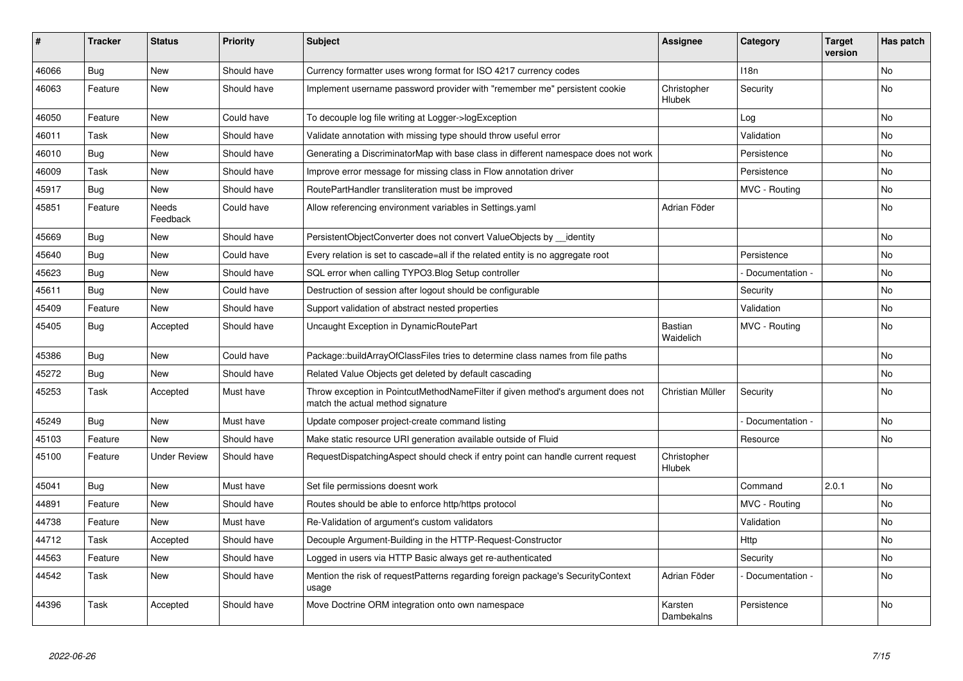| ∦     | <b>Tracker</b> | <b>Status</b>       | <b>Priority</b> | <b>Subject</b>                                                                                                       | <b>Assignee</b>       | Category         | <b>Target</b><br>version | Has patch |
|-------|----------------|---------------------|-----------------|----------------------------------------------------------------------------------------------------------------------|-----------------------|------------------|--------------------------|-----------|
| 46066 | <b>Bug</b>     | <b>New</b>          | Should have     | Currency formatter uses wrong format for ISO 4217 currency codes                                                     |                       | 118 <sub>n</sub> |                          | <b>No</b> |
| 46063 | Feature        | <b>New</b>          | Should have     | Implement username password provider with "remember me" persistent cookie                                            | Christopher<br>Hlubek | Security         |                          | No        |
| 46050 | Feature        | <b>New</b>          | Could have      | To decouple log file writing at Logger->logException                                                                 |                       | Log              |                          | <b>No</b> |
| 46011 | Task           | <b>New</b>          | Should have     | Validate annotation with missing type should throw useful error                                                      |                       | Validation       |                          | <b>No</b> |
| 46010 | Bug            | <b>New</b>          | Should have     | Generating a DiscriminatorMap with base class in different namespace does not work                                   |                       | Persistence      |                          | <b>No</b> |
| 46009 | Task           | <b>New</b>          | Should have     | Improve error message for missing class in Flow annotation driver                                                    |                       | Persistence      |                          | No        |
| 45917 | <b>Bug</b>     | <b>New</b>          | Should have     | RoutePartHandler transliteration must be improved                                                                    |                       | MVC - Routing    |                          | <b>No</b> |
| 45851 | Feature        | Needs<br>Feedback   | Could have      | Allow referencing environment variables in Settings yaml                                                             | Adrian Föder          |                  |                          | No        |
| 45669 | Bug            | <b>New</b>          | Should have     | PersistentObjectConverter does not convert ValueObjects by identity                                                  |                       |                  |                          | <b>No</b> |
| 45640 | Bug            | <b>New</b>          | Could have      | Every relation is set to cascade=all if the related entity is no aggregate root                                      |                       | Persistence      |                          | <b>No</b> |
| 45623 | <b>Bug</b>     | <b>New</b>          | Should have     | SQL error when calling TYPO3.Blog Setup controller                                                                   |                       | Documentation -  |                          | <b>No</b> |
| 45611 | Bug            | <b>New</b>          | Could have      | Destruction of session after logout should be configurable                                                           |                       | Security         |                          | No        |
| 45409 | Feature        | <b>New</b>          | Should have     | Support validation of abstract nested properties                                                                     |                       | Validation       |                          | No        |
| 45405 | <b>Bug</b>     | Accepted            | Should have     | Uncaught Exception in DynamicRoutePart                                                                               | Bastian<br>Waidelich  | MVC - Routing    |                          | <b>No</b> |
| 45386 | <b>Bug</b>     | <b>New</b>          | Could have      | Package::buildArrayOfClassFiles tries to determine class names from file paths                                       |                       |                  |                          | <b>No</b> |
| 45272 | Bug            | New                 | Should have     | Related Value Objects get deleted by default cascading                                                               |                       |                  |                          | No        |
| 45253 | Task           | Accepted            | Must have       | Throw exception in PointcutMethodNameFilter if given method's argument does not<br>match the actual method signature | Christian Müller      | Security         |                          | No        |
| 45249 | Bug            | <b>New</b>          | Must have       | Update composer project-create command listing                                                                       |                       | Documentation -  |                          | <b>No</b> |
| 45103 | Feature        | <b>New</b>          | Should have     | Make static resource URI generation available outside of Fluid                                                       |                       | Resource         |                          | <b>No</b> |
| 45100 | Feature        | <b>Under Review</b> | Should have     | RequestDispatchingAspect should check if entry point can handle current request                                      | Christopher<br>Hlubek |                  |                          |           |
| 45041 | Bug            | <b>New</b>          | Must have       | Set file permissions doesnt work                                                                                     |                       | Command          | 2.0.1                    | <b>No</b> |
| 44891 | Feature        | <b>New</b>          | Should have     | Routes should be able to enforce http/https protocol                                                                 |                       | MVC - Routing    |                          | <b>No</b> |
| 44738 | Feature        | <b>New</b>          | Must have       | Re-Validation of argument's custom validators                                                                        |                       | Validation       |                          | <b>No</b> |
| 44712 | Task           | Accepted            | Should have     | Decouple Argument-Building in the HTTP-Request-Constructor                                                           |                       | Http             |                          | No        |
| 44563 | Feature        | <b>New</b>          | Should have     | Logged in users via HTTP Basic always get re-authenticated                                                           |                       | Security         |                          | No        |
| 44542 | Task           | <b>New</b>          | Should have     | Mention the risk of requestPatterns regarding foreign package's SecurityContext<br>usage                             | Adrian Föder          | Documentation -  |                          | <b>No</b> |
| 44396 | Task           | Accepted            | Should have     | Move Doctrine ORM integration onto own namespace                                                                     | Karsten<br>Dambekalns | Persistence      |                          | <b>No</b> |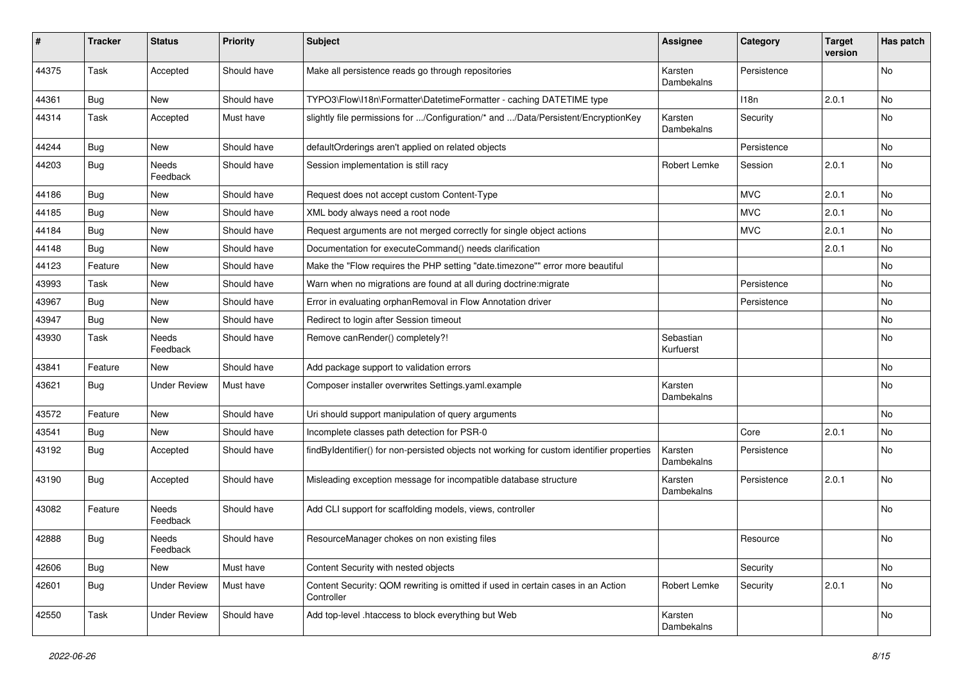| #     | <b>Tracker</b> | <b>Status</b>       | <b>Priority</b> | <b>Subject</b>                                                                                 | <b>Assignee</b>        | Category    | <b>Target</b><br>version | Has patch |
|-------|----------------|---------------------|-----------------|------------------------------------------------------------------------------------------------|------------------------|-------------|--------------------------|-----------|
| 44375 | Task           | Accepted            | Should have     | Make all persistence reads go through repositories                                             | Karsten<br>Dambekalns  | Persistence |                          | No        |
| 44361 | <b>Bug</b>     | New                 | Should have     | TYPO3\Flow\I18n\Formatter\DatetimeFormatter - caching DATETIME type                            |                        | 118n        | 2.0.1                    | No        |
| 44314 | Task           | Accepted            | Must have       | slightly file permissions for /Configuration/* and /Data/Persistent/EncryptionKey              | Karsten<br>Dambekalns  | Security    |                          | No        |
| 44244 | <b>Bug</b>     | New                 | Should have     | defaultOrderings aren't applied on related objects                                             |                        | Persistence |                          | <b>No</b> |
| 44203 | <b>Bug</b>     | Needs<br>Feedback   | Should have     | Session implementation is still racy                                                           | Robert Lemke           | Session     | 2.0.1                    | No        |
| 44186 | Bug            | <b>New</b>          | Should have     | Request does not accept custom Content-Type                                                    |                        | <b>MVC</b>  | 2.0.1                    | <b>No</b> |
| 44185 | <b>Bug</b>     | New                 | Should have     | XML body always need a root node                                                               |                        | <b>MVC</b>  | 2.0.1                    | No        |
| 44184 | Bug            | New                 | Should have     | Request arguments are not merged correctly for single object actions                           |                        | <b>MVC</b>  | 2.0.1                    | No        |
| 44148 | Bug            | New                 | Should have     | Documentation for executeCommand() needs clarification                                         |                        |             | 2.0.1                    | No        |
| 44123 | Feature        | New                 | Should have     | Make the "Flow requires the PHP setting "date.timezone"" error more beautiful                  |                        |             |                          | No        |
| 43993 | Task           | New                 | Should have     | Warn when no migrations are found at all during doctrine: migrate                              |                        | Persistence |                          | <b>No</b> |
| 43967 | Bug            | New                 | Should have     | Error in evaluating orphanRemoval in Flow Annotation driver                                    |                        | Persistence |                          | No        |
| 43947 | Bug            | New                 | Should have     | Redirect to login after Session timeout                                                        |                        |             |                          | No        |
| 43930 | Task           | Needs<br>Feedback   | Should have     | Remove canRender() completely?!                                                                | Sebastian<br>Kurfuerst |             |                          | No        |
| 43841 | Feature        | New                 | Should have     | Add package support to validation errors                                                       |                        |             |                          | No        |
| 43621 | <b>Bug</b>     | <b>Under Review</b> | Must have       | Composer installer overwrites Settings.yaml.example                                            | Karsten<br>Dambekalns  |             |                          | No        |
| 43572 | Feature        | New                 | Should have     | Uri should support manipulation of query arguments                                             |                        |             |                          | <b>No</b> |
| 43541 | Bug            | New                 | Should have     | Incomplete classes path detection for PSR-0                                                    |                        | Core        | 2.0.1                    | No        |
| 43192 | <b>Bug</b>     | Accepted            | Should have     | findByIdentifier() for non-persisted objects not working for custom identifier properties      | Karsten<br>Dambekalns  | Persistence |                          | No        |
| 43190 | <b>Bug</b>     | Accepted            | Should have     | Misleading exception message for incompatible database structure                               | Karsten<br>Dambekalns  | Persistence | 2.0.1                    | <b>No</b> |
| 43082 | Feature        | Needs<br>Feedback   | Should have     | Add CLI support for scaffolding models, views, controller                                      |                        |             |                          | No        |
| 42888 | Bug            | Needs<br>Feedback   | Should have     | ResourceManager chokes on non existing files                                                   |                        | Resource    |                          | No        |
| 42606 | Bug            | New                 | Must have       | Content Security with nested objects                                                           |                        | Security    |                          | No        |
| 42601 | <b>Bug</b>     | <b>Under Review</b> | Must have       | Content Security: QOM rewriting is omitted if used in certain cases in an Action<br>Controller | Robert Lemke           | Security    | 2.0.1                    | No        |
| 42550 | Task           | <b>Under Review</b> | Should have     | Add top-level .htaccess to block everything but Web                                            | Karsten<br>Dambekalns  |             |                          | No        |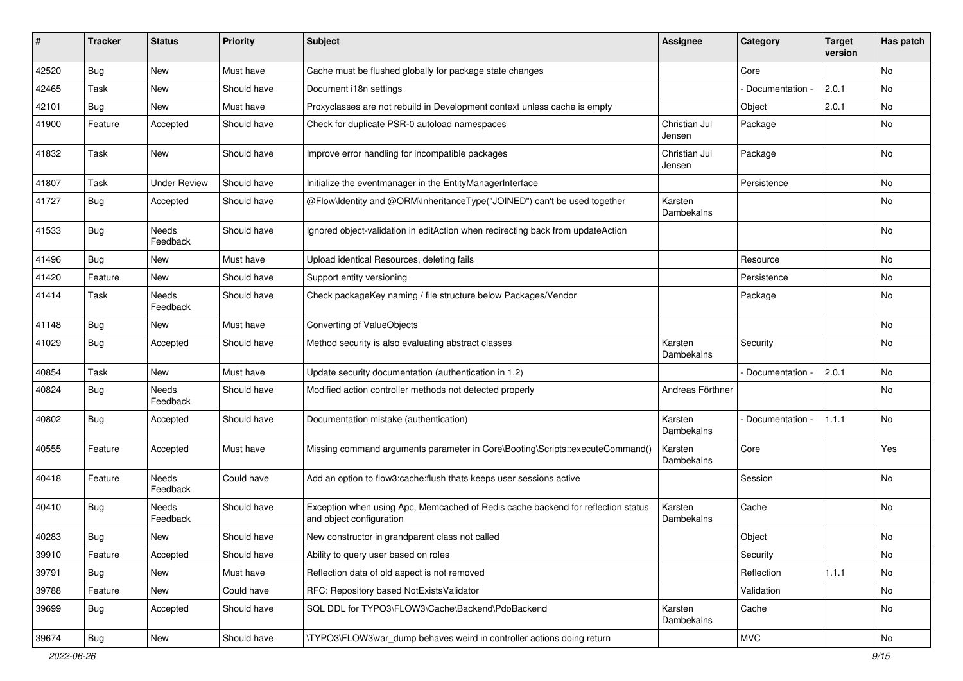| ∦     | <b>Tracker</b> | <b>Status</b>       | <b>Priority</b> | <b>Subject</b>                                                                                               | <b>Assignee</b>         | Category        | <b>Target</b><br>version | Has patch |
|-------|----------------|---------------------|-----------------|--------------------------------------------------------------------------------------------------------------|-------------------------|-----------------|--------------------------|-----------|
| 42520 | Bug            | New                 | Must have       | Cache must be flushed globally for package state changes                                                     |                         | Core            |                          | No        |
| 42465 | Task           | New                 | Should have     | Document i18n settings                                                                                       |                         | Documentation - | 2.0.1                    | No        |
| 42101 | Bug            | New                 | Must have       | Proxyclasses are not rebuild in Development context unless cache is empty                                    |                         | Object          | 2.0.1                    | No        |
| 41900 | Feature        | Accepted            | Should have     | Check for duplicate PSR-0 autoload namespaces                                                                | Christian Jul<br>Jensen | Package         |                          | No        |
| 41832 | Task           | <b>New</b>          | Should have     | Improve error handling for incompatible packages                                                             | Christian Jul<br>Jensen | Package         |                          | <b>No</b> |
| 41807 | Task           | <b>Under Review</b> | Should have     | Initialize the eventmanager in the EntityManagerInterface                                                    |                         | Persistence     |                          | No        |
| 41727 | Bug            | Accepted            | Should have     | @Flow\Identity and @ORM\InheritanceType("JOINED") can't be used together                                     | Karsten<br>Dambekalns   |                 |                          | No        |
| 41533 | Bug            | Needs<br>Feedback   | Should have     | Ignored object-validation in editAction when redirecting back from updateAction                              |                         |                 |                          | No        |
| 41496 | Bug            | <b>New</b>          | Must have       | Upload identical Resources, deleting fails                                                                   |                         | Resource        |                          | <b>No</b> |
| 41420 | Feature        | New                 | Should have     | Support entity versioning                                                                                    |                         | Persistence     |                          | No        |
| 41414 | Task           | Needs<br>Feedback   | Should have     | Check packageKey naming / file structure below Packages/Vendor                                               |                         | Package         |                          | No        |
| 41148 | <b>Bug</b>     | New                 | Must have       | Converting of ValueObjects                                                                                   |                         |                 |                          | <b>No</b> |
| 41029 | Bug            | Accepted            | Should have     | Method security is also evaluating abstract classes                                                          | Karsten<br>Dambekalns   | Security        |                          | No        |
| 40854 | Task           | New                 | Must have       | Update security documentation (authentication in 1.2)                                                        |                         | Documentation - | 2.0.1                    | No        |
| 40824 | <b>Bug</b>     | Needs<br>Feedback   | Should have     | Modified action controller methods not detected properly                                                     | Andreas Förthner        |                 |                          | No        |
| 40802 | <b>Bug</b>     | Accepted            | Should have     | Documentation mistake (authentication)                                                                       | Karsten<br>Dambekalns   | Documentation   | 1.1.1                    | <b>No</b> |
| 40555 | Feature        | Accepted            | Must have       | Missing command arguments parameter in Core\Booting\Scripts::executeCommand()                                | Karsten<br>Dambekalns   | Core            |                          | Yes       |
| 40418 | Feature        | Needs<br>Feedback   | Could have      | Add an option to flow3:cache:flush thats keeps user sessions active                                          |                         | Session         |                          | <b>No</b> |
| 40410 | Bug            | Needs<br>Feedback   | Should have     | Exception when using Apc, Memcached of Redis cache backend for reflection status<br>and object configuration | Karsten<br>Dambekalns   | Cache           |                          | No        |
| 40283 | <b>Bug</b>     | New                 | Should have     | New constructor in grandparent class not called                                                              |                         | Object          |                          | No        |
| 39910 | Feature        | Accepted            | Should have     | Ability to query user based on roles                                                                         |                         | Security        |                          | No        |
| 39791 | Bug            | New                 | Must have       | Reflection data of old aspect is not removed                                                                 |                         | Reflection      | 1.1.1                    | No        |
| 39788 | Feature        | New                 | Could have      | RFC: Repository based NotExistsValidator                                                                     |                         | Validation      |                          | No        |
| 39699 | Bug            | Accepted            | Should have     | SQL DDL for TYPO3\FLOW3\Cache\Backend\PdoBackend                                                             | Karsten<br>Dambekalns   | Cache           |                          | No        |
| 39674 | Bug            | New                 | Should have     | \TYPO3\FLOW3\var_dump behaves weird in controller actions doing return                                       |                         | <b>MVC</b>      |                          | No        |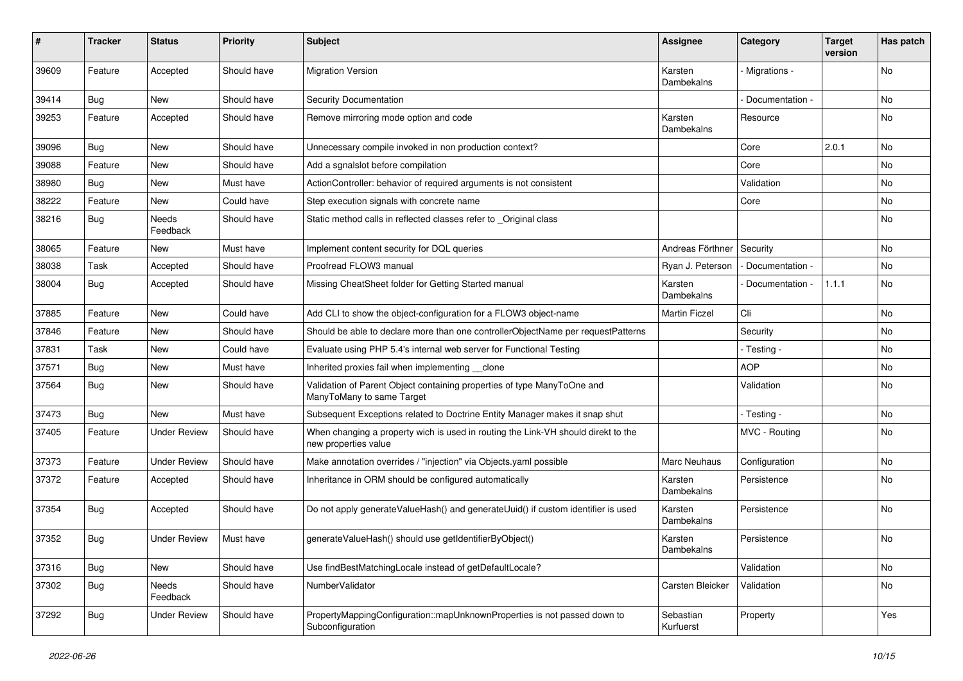| #     | <b>Tracker</b> | <b>Status</b>       | <b>Priority</b> | <b>Subject</b>                                                                                            | <b>Assignee</b>        | Category          | <b>Target</b><br>version | Has patch |
|-------|----------------|---------------------|-----------------|-----------------------------------------------------------------------------------------------------------|------------------------|-------------------|--------------------------|-----------|
| 39609 | Feature        | Accepted            | Should have     | <b>Migration Version</b>                                                                                  | Karsten<br>Dambekalns  | Migrations -      |                          | No        |
| 39414 | <b>Bug</b>     | New                 | Should have     | Security Documentation                                                                                    |                        | Documentation -   |                          | No        |
| 39253 | Feature        | Accepted            | Should have     | Remove mirroring mode option and code                                                                     | Karsten<br>Dambekalns  | Resource          |                          | No        |
| 39096 | Bug            | <b>New</b>          | Should have     | Unnecessary compile invoked in non production context?                                                    |                        | Core              | 2.0.1                    | <b>No</b> |
| 39088 | Feature        | New                 | Should have     | Add a sqnalslot before compilation                                                                        |                        | Core              |                          | No        |
| 38980 | <b>Bug</b>     | New                 | Must have       | ActionController: behavior of required arguments is not consistent                                        |                        | Validation        |                          | No        |
| 38222 | Feature        | New                 | Could have      | Step execution signals with concrete name                                                                 |                        | Core              |                          | No        |
| 38216 | Bug            | Needs<br>Feedback   | Should have     | Static method calls in reflected classes refer to _Original class                                         |                        |                   |                          | No        |
| 38065 | Feature        | New                 | Must have       | Implement content security for DQL queries                                                                | Andreas Förthner       | Security          |                          | No        |
| 38038 | Task           | Accepted            | Should have     | Proofread FLOW3 manual                                                                                    | Ryan J. Peterson       | - Documentation - |                          | No        |
| 38004 | Bug            | Accepted            | Should have     | Missing CheatSheet folder for Getting Started manual                                                      | Karsten<br>Dambekalns  | Documentation -   | 1.1.1                    | No        |
| 37885 | Feature        | <b>New</b>          | Could have      | Add CLI to show the object-configuration for a FLOW3 object-name                                          | <b>Martin Ficzel</b>   | Cli               |                          | <b>No</b> |
| 37846 | Feature        | New                 | Should have     | Should be able to declare more than one controllerObjectName per requestPatterns                          |                        | Security          |                          | No        |
| 37831 | Task           | New                 | Could have      | Evaluate using PHP 5.4's internal web server for Functional Testing                                       |                        | - Testing -       |                          | No        |
| 37571 | <b>Bug</b>     | New                 | Must have       | Inherited proxies fail when implementing clone                                                            |                        | <b>AOP</b>        |                          | No        |
| 37564 | Bug            | New                 | Should have     | Validation of Parent Object containing properties of type ManyToOne and<br>ManyToMany to same Target      |                        | Validation        |                          | No        |
| 37473 | Bug            | New                 | Must have       | Subsequent Exceptions related to Doctrine Entity Manager makes it snap shut                               |                        | - Testing -       |                          | <b>No</b> |
| 37405 | Feature        | <b>Under Review</b> | Should have     | When changing a property wich is used in routing the Link-VH should direkt to the<br>new properties value |                        | MVC - Routing     |                          | No        |
| 37373 | Feature        | <b>Under Review</b> | Should have     | Make annotation overrides / "injection" via Objects.yaml possible                                         | Marc Neuhaus           | Configuration     |                          | No        |
| 37372 | Feature        | Accepted            | Should have     | Inheritance in ORM should be configured automatically                                                     | Karsten<br>Dambekalns  | Persistence       |                          | No        |
| 37354 | <b>Bug</b>     | Accepted            | Should have     | Do not apply generateValueHash() and generateUuid() if custom identifier is used                          | Karsten<br>Dambekalns  | Persistence       |                          | No        |
| 37352 | <b>Bug</b>     | <b>Under Review</b> | Must have       | generateValueHash() should use getIdentifierByObject()                                                    | Karsten<br>Dambekalns  | Persistence       |                          | No        |
| 37316 | <b>Bug</b>     | New                 | Should have     | Use findBestMatchingLocale instead of getDefaultLocale?                                                   |                        | Validation        |                          | No        |
| 37302 | <b>Bug</b>     | Needs<br>Feedback   | Should have     | NumberValidator                                                                                           | Carsten Bleicker       | Validation        |                          | No        |
| 37292 | Bug            | <b>Under Review</b> | Should have     | PropertyMappingConfiguration::mapUnknownProperties is not passed down to<br>Subconfiguration              | Sebastian<br>Kurfuerst | Property          |                          | Yes       |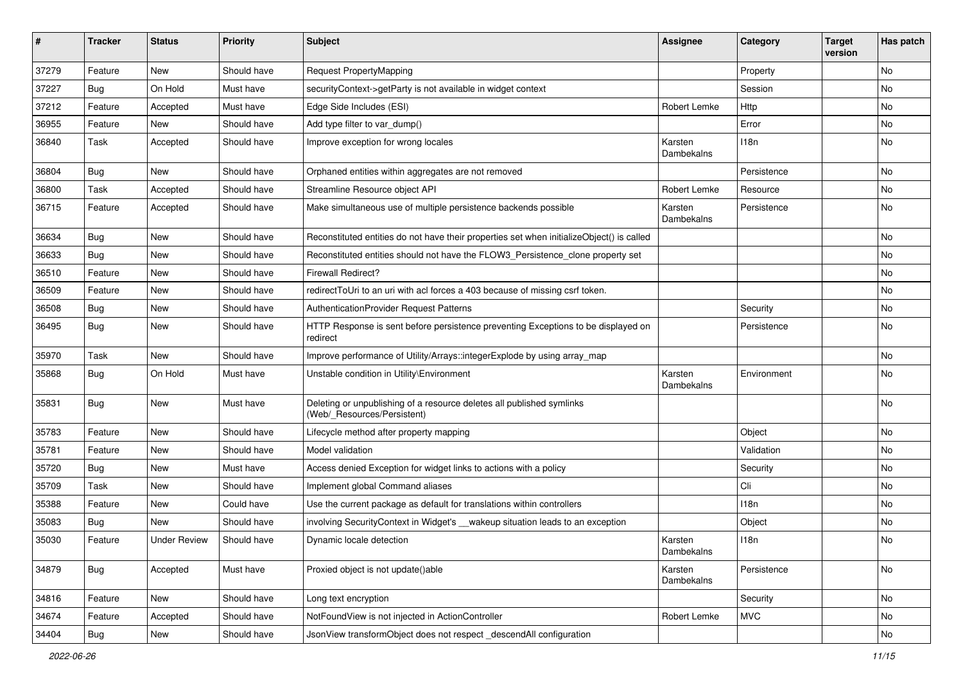| #     | <b>Tracker</b>   | <b>Status</b>       | <b>Priority</b> | <b>Subject</b>                                                                                       | <b>Assignee</b>       | Category    | <b>Target</b><br>version | Has patch |
|-------|------------------|---------------------|-----------------|------------------------------------------------------------------------------------------------------|-----------------------|-------------|--------------------------|-----------|
| 37279 | Feature          | <b>New</b>          | Should have     | <b>Request PropertyMapping</b>                                                                       |                       | Property    |                          | No        |
| 37227 | <b>Bug</b>       | On Hold             | Must have       | securityContext->getParty is not available in widget context                                         |                       | Session     |                          | No        |
| 37212 | Feature          | Accepted            | Must have       | Edge Side Includes (ESI)                                                                             | Robert Lemke          | Http        |                          | No        |
| 36955 | Feature          | <b>New</b>          | Should have     | Add type filter to var_dump()                                                                        |                       | Error       |                          | No        |
| 36840 | Task             | Accepted            | Should have     | Improve exception for wrong locales                                                                  | Karsten<br>Dambekalns | 118n        |                          | No        |
| 36804 | <b>Bug</b>       | New                 | Should have     | Orphaned entities within aggregates are not removed                                                  |                       | Persistence |                          | No        |
| 36800 | Task             | Accepted            | Should have     | Streamline Resource object API                                                                       | Robert Lemke          | Resource    |                          | <b>No</b> |
| 36715 | Feature          | Accepted            | Should have     | Make simultaneous use of multiple persistence backends possible                                      | Karsten<br>Dambekalns | Persistence |                          | No        |
| 36634 | Bug              | New                 | Should have     | Reconstituted entities do not have their properties set when initializeObject() is called            |                       |             |                          | No        |
| 36633 | Bug              | <b>New</b>          | Should have     | Reconstituted entities should not have the FLOW3_Persistence_clone property set                      |                       |             |                          | No        |
| 36510 | Feature          | <b>New</b>          | Should have     | <b>Firewall Redirect?</b>                                                                            |                       |             |                          | No        |
| 36509 | Feature          | <b>New</b>          | Should have     | redirectToUri to an uri with acl forces a 403 because of missing csrf token.                         |                       |             |                          | <b>No</b> |
| 36508 | <b>Bug</b>       | New                 | Should have     | AuthenticationProvider Request Patterns                                                              |                       | Security    |                          | No        |
| 36495 | <b>Bug</b>       | New                 | Should have     | HTTP Response is sent before persistence preventing Exceptions to be displayed on<br>redirect        |                       | Persistence |                          | No        |
| 35970 | Task             | <b>New</b>          | Should have     | Improve performance of Utility/Arrays::integerExplode by using array_map                             |                       |             |                          | <b>No</b> |
| 35868 | <b>Bug</b>       | On Hold             | Must have       | Unstable condition in Utility\Environment                                                            | Karsten<br>Dambekalns | Environment |                          | No        |
| 35831 | Bug              | <b>New</b>          | Must have       | Deleting or unpublishing of a resource deletes all published symlinks<br>(Web/_Resources/Persistent) |                       |             |                          | No        |
| 35783 | Feature          | <b>New</b>          | Should have     | Lifecycle method after property mapping                                                              |                       | Object      |                          | No        |
| 35781 | Feature          | New                 | Should have     | Model validation                                                                                     |                       | Validation  |                          | <b>No</b> |
| 35720 | Bug              | <b>New</b>          | Must have       | Access denied Exception for widget links to actions with a policy                                    |                       | Security    |                          | No        |
| 35709 | Task             | <b>New</b>          | Should have     | Implement global Command aliases                                                                     |                       | Cli         |                          | No        |
| 35388 | Feature          | New                 | Could have      | Use the current package as default for translations within controllers                               |                       | 118n        |                          | No        |
| 35083 | <b>Bug</b>       | <b>New</b>          | Should have     | involving SecurityContext in Widget's __wakeup situation leads to an exception                       |                       | Object      |                          | No        |
| 35030 | Feature          | <b>Under Review</b> | Should have     | Dynamic locale detection                                                                             | Karsten<br>Dambekalns | 118n        |                          | No        |
| 34879 | Bug              | Accepted            | Must have       | Proxied object is not update()able                                                                   | Karsten<br>Dambekalns | Persistence |                          | No        |
| 34816 | Feature          | New                 | Should have     | Long text encryption                                                                                 |                       | Security    |                          | No        |
| 34674 | Feature          | Accepted            | Should have     | NotFoundView is not injected in ActionController                                                     | Robert Lemke          | <b>MVC</b>  |                          | No        |
| 34404 | <sub>I</sub> Bug | New                 | Should have     | JsonView transformObject does not respect descendAll configuration                                   |                       |             |                          | No        |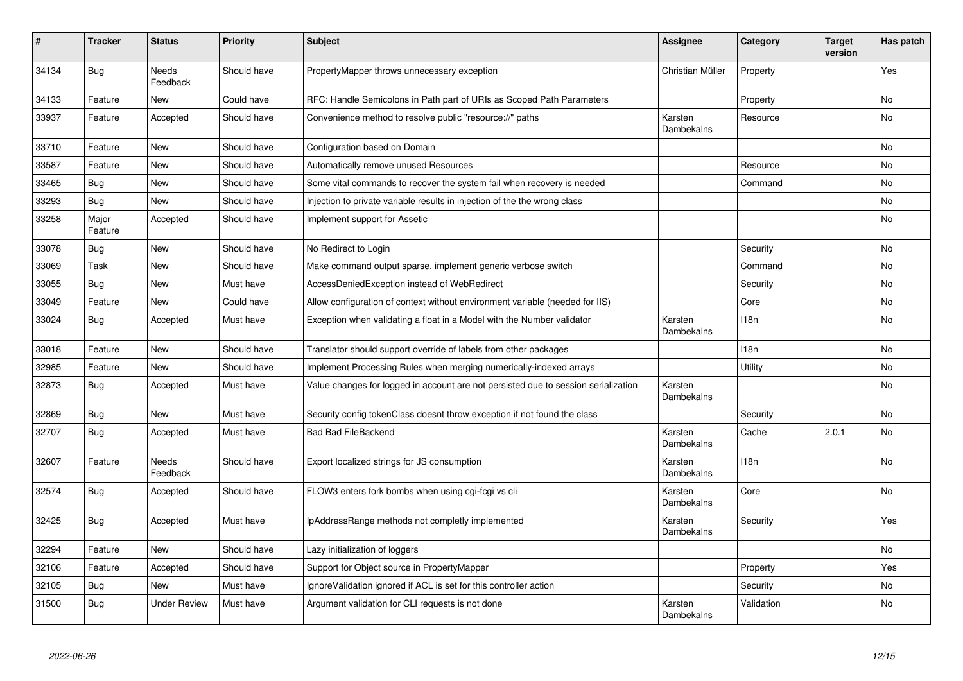| #     | <b>Tracker</b>   | <b>Status</b>            | <b>Priority</b> | <b>Subject</b>                                                                     | <b>Assignee</b>       | Category   | <b>Target</b><br>version | Has patch      |
|-------|------------------|--------------------------|-----------------|------------------------------------------------------------------------------------|-----------------------|------------|--------------------------|----------------|
| 34134 | <b>Bug</b>       | <b>Needs</b><br>Feedback | Should have     | PropertyMapper throws unnecessary exception                                        | Christian Müller      | Property   |                          | Yes            |
| 34133 | Feature          | <b>New</b>               | Could have      | RFC: Handle Semicolons in Path part of URIs as Scoped Path Parameters              |                       | Property   |                          | <b>No</b>      |
| 33937 | Feature          | Accepted                 | Should have     | Convenience method to resolve public "resource://" paths                           | Karsten<br>Dambekalns | Resource   |                          | No             |
| 33710 | Feature          | <b>New</b>               | Should have     | Configuration based on Domain                                                      |                       |            |                          | No             |
| 33587 | Feature          | <b>New</b>               | Should have     | Automatically remove unused Resources                                              |                       | Resource   |                          | <b>No</b>      |
| 33465 | Bug              | <b>New</b>               | Should have     | Some vital commands to recover the system fail when recovery is needed             |                       | Command    |                          | No             |
| 33293 | Bug              | <b>New</b>               | Should have     | Injection to private variable results in injection of the the wrong class          |                       |            |                          | No             |
| 33258 | Major<br>Feature | Accepted                 | Should have     | Implement support for Assetic                                                      |                       |            |                          | No             |
| 33078 | <b>Bug</b>       | <b>New</b>               | Should have     | No Redirect to Login                                                               |                       | Security   |                          | <b>No</b>      |
| 33069 | Task             | <b>New</b>               | Should have     | Make command output sparse, implement generic verbose switch                       |                       | Command    |                          | <b>No</b>      |
| 33055 | Bug              | <b>New</b>               | Must have       | AccessDeniedException instead of WebRedirect                                       |                       | Security   |                          | No             |
| 33049 | Feature          | New                      | Could have      | Allow configuration of context without environment variable (needed for IIS)       |                       | Core       |                          | No             |
| 33024 | <b>Bug</b>       | Accepted                 | Must have       | Exception when validating a float in a Model with the Number validator             | Karsten<br>Dambekalns | 118n       |                          | No             |
| 33018 | Feature          | <b>New</b>               | Should have     | Translator should support override of labels from other packages                   |                       | 118n       |                          | No             |
| 32985 | Feature          | <b>New</b>               | Should have     | Implement Processing Rules when merging numerically-indexed arrays                 |                       | Utility    |                          | N <sub>o</sub> |
| 32873 | Bug              | Accepted                 | Must have       | Value changes for logged in account are not persisted due to session serialization | Karsten<br>Dambekalns |            |                          | No             |
| 32869 | <b>Bug</b>       | <b>New</b>               | Must have       | Security config tokenClass doesnt throw exception if not found the class           |                       | Security   |                          | <b>No</b>      |
| 32707 | Bug              | Accepted                 | Must have       | <b>Bad Bad FileBackend</b>                                                         | Karsten<br>Dambekalns | Cache      | 2.0.1                    | No             |
| 32607 | Feature          | Needs<br>Feedback        | Should have     | Export localized strings for JS consumption                                        | Karsten<br>Dambekalns | 118n       |                          | No             |
| 32574 | <b>Bug</b>       | Accepted                 | Should have     | FLOW3 enters fork bombs when using cgi-fcgi vs cli                                 | Karsten<br>Dambekalns | Core       |                          | No             |
| 32425 | Bug              | Accepted                 | Must have       | IpAddressRange methods not completly implemented                                   | Karsten<br>Dambekalns | Security   |                          | Yes            |
| 32294 | Feature          | <b>New</b>               | Should have     | Lazy initialization of loggers                                                     |                       |            |                          | No             |
| 32106 | Feature          | Accepted                 | Should have     | Support for Object source in PropertyMapper                                        |                       | Property   |                          | Yes            |
| 32105 | Bug              | <b>New</b>               | Must have       | Ignore Validation ignored if ACL is set for this controller action                 |                       | Security   |                          | No             |
| 31500 | <b>Bug</b>       | <b>Under Review</b>      | Must have       | Argument validation for CLI requests is not done                                   | Karsten<br>Dambekalns | Validation |                          | No             |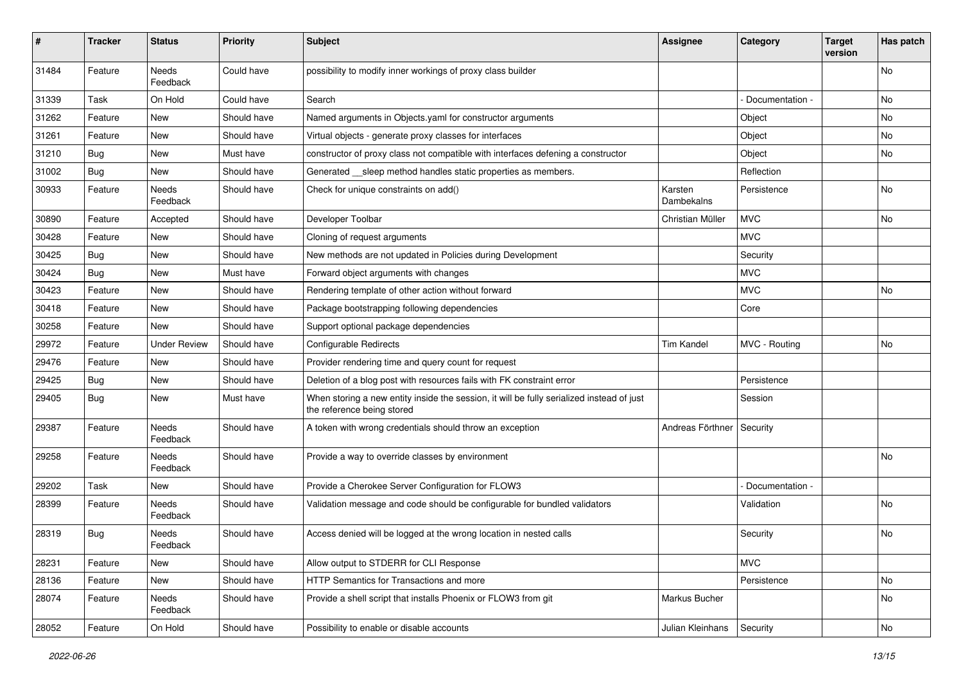| #     | <b>Tracker</b> | <b>Status</b>       | <b>Priority</b> | <b>Subject</b>                                                                                                          | Assignee              | Category        | <b>Target</b><br>version | Has patch |
|-------|----------------|---------------------|-----------------|-------------------------------------------------------------------------------------------------------------------------|-----------------------|-----------------|--------------------------|-----------|
| 31484 | Feature        | Needs<br>Feedback   | Could have      | possibility to modify inner workings of proxy class builder                                                             |                       |                 |                          | No        |
| 31339 | Task           | On Hold             | Could have      | Search                                                                                                                  |                       | Documentation - |                          | No        |
| 31262 | Feature        | <b>New</b>          | Should have     | Named arguments in Objects.yaml for constructor arguments                                                               |                       | Object          |                          | No        |
| 31261 | Feature        | New                 | Should have     | Virtual objects - generate proxy classes for interfaces                                                                 |                       | Object          |                          | No        |
| 31210 | <b>Bug</b>     | New                 | Must have       | constructor of proxy class not compatible with interfaces defening a constructor                                        |                       | Object          |                          | No.       |
| 31002 | Bug            | New                 | Should have     | Generated __ sleep method handles static properties as members.                                                         |                       | Reflection      |                          |           |
| 30933 | Feature        | Needs<br>Feedback   | Should have     | Check for unique constraints on add()                                                                                   | Karsten<br>Dambekalns | Persistence     |                          | <b>No</b> |
| 30890 | Feature        | Accepted            | Should have     | Developer Toolbar                                                                                                       | Christian Müller      | <b>MVC</b>      |                          | No        |
| 30428 | Feature        | New                 | Should have     | Cloning of request arguments                                                                                            |                       | <b>MVC</b>      |                          |           |
| 30425 | <b>Bug</b>     | <b>New</b>          | Should have     | New methods are not updated in Policies during Development                                                              |                       | Security        |                          |           |
| 30424 | <b>Bug</b>     | New                 | Must have       | Forward object arguments with changes                                                                                   |                       | <b>MVC</b>      |                          |           |
| 30423 | Feature        | New                 | Should have     | Rendering template of other action without forward                                                                      |                       | <b>MVC</b>      |                          | No.       |
| 30418 | Feature        | New                 | Should have     | Package bootstrapping following dependencies                                                                            |                       | Core            |                          |           |
| 30258 | Feature        | New                 | Should have     | Support optional package dependencies                                                                                   |                       |                 |                          |           |
| 29972 | Feature        | <b>Under Review</b> | Should have     | Configurable Redirects                                                                                                  | <b>Tim Kandel</b>     | MVC - Routing   |                          | No        |
| 29476 | Feature        | New                 | Should have     | Provider rendering time and query count for request                                                                     |                       |                 |                          |           |
| 29425 | <b>Bug</b>     | New                 | Should have     | Deletion of a blog post with resources fails with FK constraint error                                                   |                       | Persistence     |                          |           |
| 29405 | <b>Bug</b>     | New                 | Must have       | When storing a new entity inside the session, it will be fully serialized instead of just<br>the reference being stored |                       | Session         |                          |           |
| 29387 | Feature        | Needs<br>Feedback   | Should have     | A token with wrong credentials should throw an exception                                                                | Andreas Förthner      | Security        |                          |           |
| 29258 | Feature        | Needs<br>Feedback   | Should have     | Provide a way to override classes by environment                                                                        |                       |                 |                          | No        |
| 29202 | Task           | New                 | Should have     | Provide a Cherokee Server Configuration for FLOW3                                                                       |                       | Documentation - |                          |           |
| 28399 | Feature        | Needs<br>Feedback   | Should have     | Validation message and code should be configurable for bundled validators                                               |                       | Validation      |                          | No.       |
| 28319 | <b>Bug</b>     | Needs<br>Feedback   | Should have     | Access denied will be logged at the wrong location in nested calls                                                      |                       | Security        |                          | No        |
| 28231 | Feature        | New                 | Should have     | Allow output to STDERR for CLI Response                                                                                 |                       | <b>MVC</b>      |                          |           |
| 28136 | Feature        | New                 | Should have     | HTTP Semantics for Transactions and more                                                                                |                       | Persistence     |                          | No        |
| 28074 | Feature        | Needs<br>Feedback   | Should have     | Provide a shell script that installs Phoenix or FLOW3 from git                                                          | Markus Bucher         |                 |                          | No        |
| 28052 | Feature        | On Hold             | Should have     | Possibility to enable or disable accounts                                                                               | Julian Kleinhans      | Security        |                          | No        |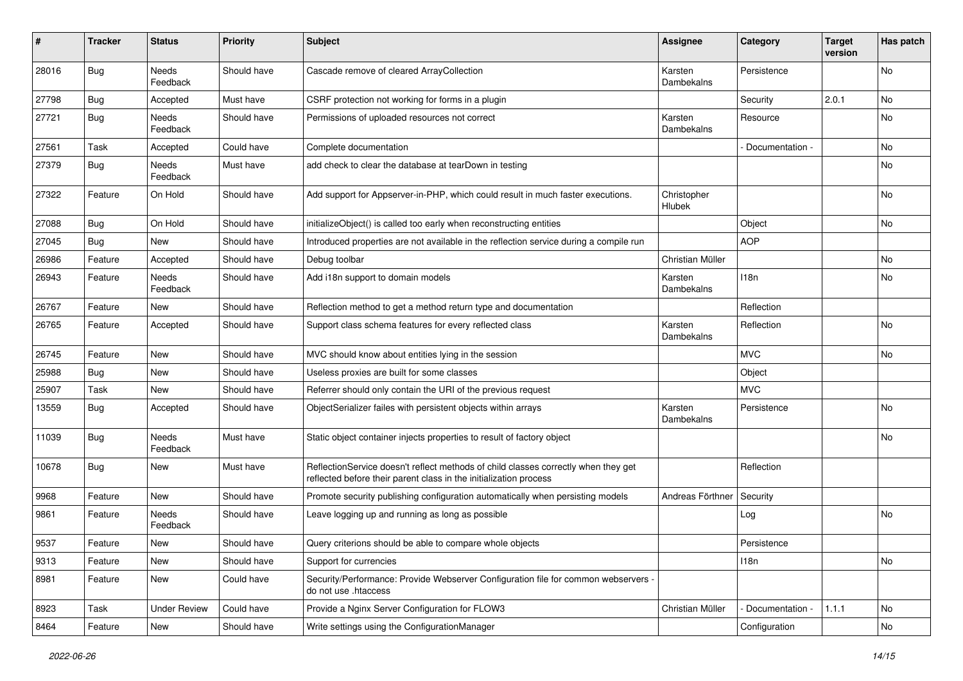| #     | <b>Tracker</b> | <b>Status</b>            | <b>Priority</b> | Subject                                                                                                                                                 | <b>Assignee</b>       | Category        | <b>Target</b><br>version | Has patch |
|-------|----------------|--------------------------|-----------------|---------------------------------------------------------------------------------------------------------------------------------------------------------|-----------------------|-----------------|--------------------------|-----------|
| 28016 | <b>Bug</b>     | Needs<br>Feedback        | Should have     | Cascade remove of cleared ArrayCollection                                                                                                               | Karsten<br>Dambekalns | Persistence     |                          | No        |
| 27798 | <b>Bug</b>     | Accepted                 | Must have       | CSRF protection not working for forms in a plugin                                                                                                       |                       | Security        | 2.0.1                    | No        |
| 27721 | <b>Bug</b>     | Needs<br>Feedback        | Should have     | Permissions of uploaded resources not correct                                                                                                           | Karsten<br>Dambekalns | Resource        |                          | No        |
| 27561 | Task           | Accepted                 | Could have      | Complete documentation                                                                                                                                  |                       | Documentation - |                          | <b>No</b> |
| 27379 | <b>Bug</b>     | Needs<br>Feedback        | Must have       | add check to clear the database at tearDown in testing                                                                                                  |                       |                 |                          | No        |
| 27322 | Feature        | On Hold                  | Should have     | Add support for Appserver-in-PHP, which could result in much faster executions.                                                                         | Christopher<br>Hlubek |                 |                          | No        |
| 27088 | <b>Bug</b>     | On Hold                  | Should have     | initializeObject() is called too early when reconstructing entities                                                                                     |                       | Object          |                          | No        |
| 27045 | Bug            | <b>New</b>               | Should have     | Introduced properties are not available in the reflection service during a compile run                                                                  |                       | <b>AOP</b>      |                          |           |
| 26986 | Feature        | Accepted                 | Should have     | Debug toolbar                                                                                                                                           | Christian Müller      |                 |                          | <b>No</b> |
| 26943 | Feature        | <b>Needs</b><br>Feedback | Should have     | Add i18n support to domain models                                                                                                                       | Karsten<br>Dambekalns | 118n            |                          | No        |
| 26767 | Feature        | New                      | Should have     | Reflection method to get a method return type and documentation                                                                                         |                       | Reflection      |                          |           |
| 26765 | Feature        | Accepted                 | Should have     | Support class schema features for every reflected class                                                                                                 | Karsten<br>Dambekalns | Reflection      |                          | No        |
| 26745 | Feature        | <b>New</b>               | Should have     | MVC should know about entities lying in the session                                                                                                     |                       | <b>MVC</b>      |                          | <b>No</b> |
| 25988 | Bug            | New                      | Should have     | Useless proxies are built for some classes                                                                                                              |                       | Object          |                          |           |
| 25907 | Task           | New                      | Should have     | Referrer should only contain the URI of the previous request                                                                                            |                       | <b>MVC</b>      |                          |           |
| 13559 | <b>Bug</b>     | Accepted                 | Should have     | ObjectSerializer failes with persistent objects within arrays                                                                                           | Karsten<br>Dambekalns | Persistence     |                          | No        |
| 11039 | Bug            | Needs<br>Feedback        | Must have       | Static object container injects properties to result of factory object                                                                                  |                       |                 |                          | No        |
| 10678 | <b>Bug</b>     | New                      | Must have       | ReflectionService doesn't reflect methods of child classes correctly when they get<br>reflected before their parent class in the initialization process |                       | Reflection      |                          |           |
| 9968  | Feature        | New                      | Should have     | Promote security publishing configuration automatically when persisting models                                                                          | Andreas Förthner      | Security        |                          |           |
| 9861  | Feature        | Needs<br>Feedback        | Should have     | Leave logging up and running as long as possible                                                                                                        |                       | Log             |                          | <b>No</b> |
| 9537  | Feature        | New                      | Should have     | Query criterions should be able to compare whole objects                                                                                                |                       | Persistence     |                          |           |
| 9313  | Feature        | New                      | Should have     | Support for currencies                                                                                                                                  |                       | 118n            |                          | No        |
| 8981  | Feature        | New                      | Could have      | Security/Performance: Provide Webserver Configuration file for common webservers -<br>do not use .htaccess                                              |                       |                 |                          |           |
| 8923  | Task           | <b>Under Review</b>      | Could have      | Provide a Nginx Server Configuration for FLOW3                                                                                                          | Christian Müller      | Documentation - | 1.1.1                    | No        |
| 8464  | Feature        | New                      | Should have     | Write settings using the ConfigurationManager                                                                                                           |                       | Configuration   |                          | No        |